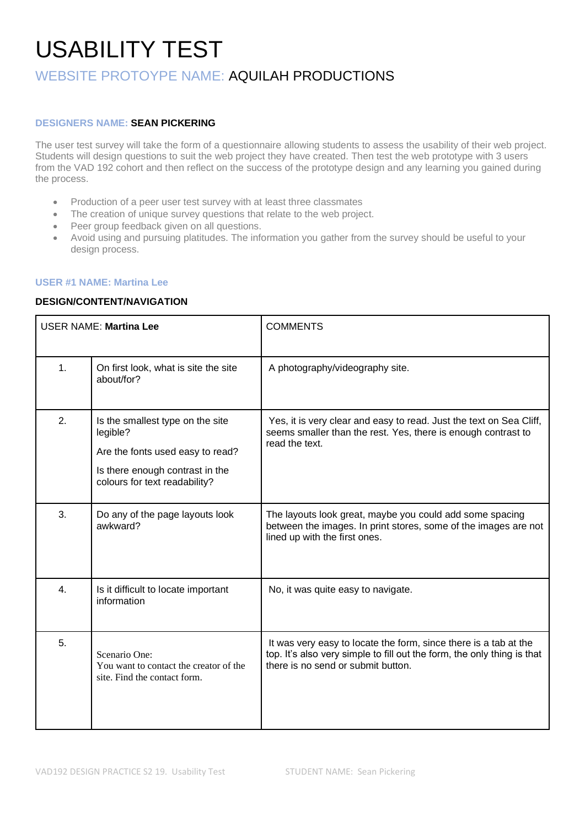# USABILITY TEST

# WEBSITE PROTOYPE NAME: AQUILAH PRODUCTIONS

### **DESIGNERS NAME: SEAN PICKERING**

The user test survey will take the form of a questionnaire allowing students to assess the usability of their web project. Students will design questions to suit the web project they have created. Then test the web prototype with 3 users from the VAD 192 cohort and then reflect on the success of the prototype design and any learning you gained during the process.

- Production of a peer user test survey with at least three classmates
- The creation of unique survey questions that relate to the web project.
- Peer group feedback given on all questions.
- Avoid using and pursuing platitudes. The information you gather from the survey should be useful to your design process.

### **USER #1 NAME: Martina Lee**

#### **DESIGN/CONTENT/NAVIGATION**

| <b>USER NAME: Martina Lee</b> |                                                                                                                                                      | <b>COMMENTS</b>                                                                                                                                                                   |
|-------------------------------|------------------------------------------------------------------------------------------------------------------------------------------------------|-----------------------------------------------------------------------------------------------------------------------------------------------------------------------------------|
| 1.                            | On first look, what is site the site<br>about/for?                                                                                                   | A photography/videography site.                                                                                                                                                   |
| 2.                            | Is the smallest type on the site<br>legible?<br>Are the fonts used easy to read?<br>Is there enough contrast in the<br>colours for text readability? | Yes, it is very clear and easy to read. Just the text on Sea Cliff,<br>seems smaller than the rest. Yes, there is enough contrast to<br>read the text.                            |
| 3.                            | Do any of the page layouts look<br>awkward?                                                                                                          | The layouts look great, maybe you could add some spacing<br>between the images. In print stores, some of the images are not<br>lined up with the first ones.                      |
| 4.                            | Is it difficult to locate important<br>information                                                                                                   | No, it was quite easy to navigate.                                                                                                                                                |
| 5.                            | Scenario One:<br>You want to contact the creator of the<br>site. Find the contact form.                                                              | It was very easy to locate the form, since there is a tab at the<br>top. It's also very simple to fill out the form, the only thing is that<br>there is no send or submit button. |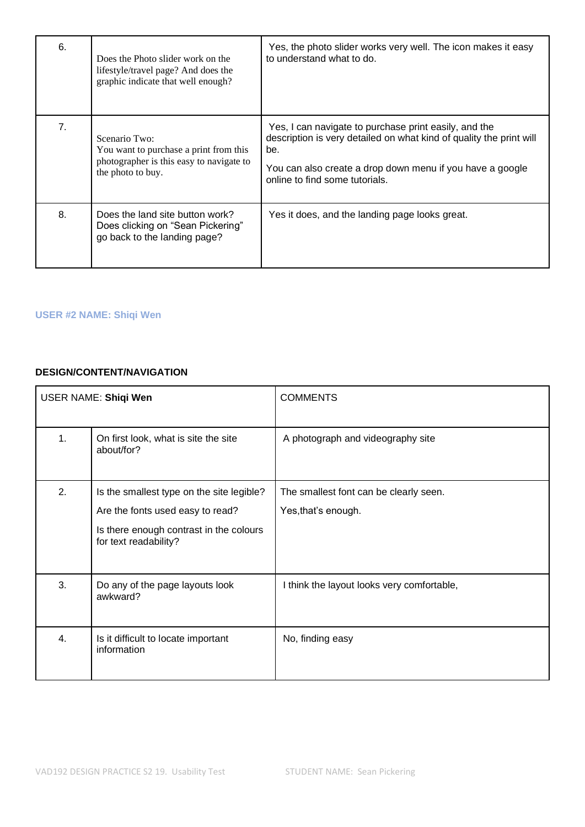| 6. | Does the Photo slider work on the<br>lifestyle/travel page? And does the<br>graphic indicate that well enough?           | Yes, the photo slider works very well. The icon makes it easy<br>to understand what to do.                                                                                                                                         |
|----|--------------------------------------------------------------------------------------------------------------------------|------------------------------------------------------------------------------------------------------------------------------------------------------------------------------------------------------------------------------------|
| 7. | Scenario Two:<br>You want to purchase a print from this<br>photographer is this easy to navigate to<br>the photo to buy. | Yes, I can navigate to purchase print easily, and the<br>description is very detailed on what kind of quality the print will<br>be.<br>You can also create a drop down menu if you have a google<br>online to find some tutorials. |
| 8. | Does the land site button work?<br>Does clicking on "Sean Pickering"<br>go back to the landing page?                     | Yes it does, and the landing page looks great.                                                                                                                                                                                     |

# **USER #2 NAME: Shiqi Wen**

## **DESIGN/CONTENT/NAVIGATION**

| USER NAME: Shiqi Wen |                                                                                                                                                   | <b>COMMENTS</b>                                               |
|----------------------|---------------------------------------------------------------------------------------------------------------------------------------------------|---------------------------------------------------------------|
| 1.                   | On first look, what is site the site<br>about/for?                                                                                                | A photograph and videography site                             |
| 2.                   | Is the smallest type on the site legible?<br>Are the fonts used easy to read?<br>Is there enough contrast in the colours<br>for text readability? | The smallest font can be clearly seen.<br>Yes, that's enough. |
| 3.                   | Do any of the page layouts look<br>awkward?                                                                                                       | I think the layout looks very comfortable,                    |
| 4.                   | Is it difficult to locate important<br>information                                                                                                | No, finding easy                                              |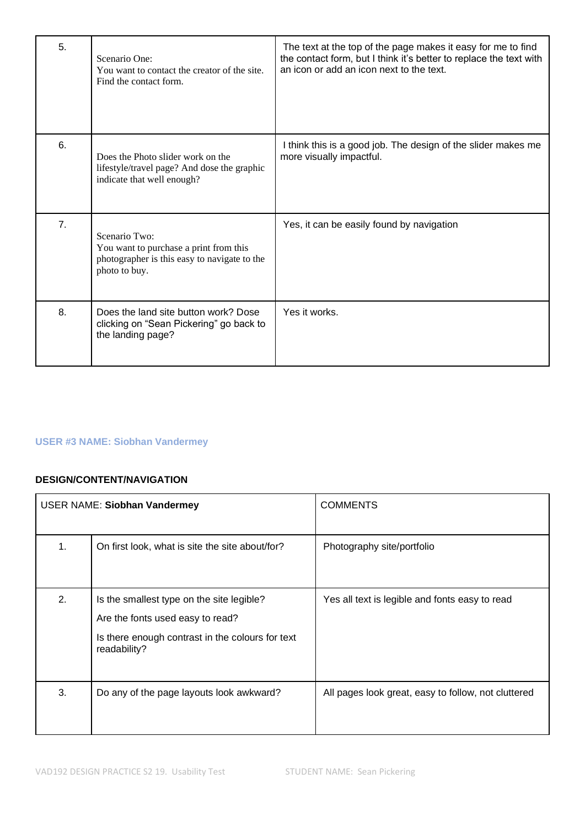| 5. | Scenario One:<br>You want to contact the creator of the site.<br>Find the contact form.                                  | The text at the top of the page makes it easy for me to find<br>the contact form, but I think it's better to replace the text with<br>an icon or add an icon next to the text. |
|----|--------------------------------------------------------------------------------------------------------------------------|--------------------------------------------------------------------------------------------------------------------------------------------------------------------------------|
| 6. | Does the Photo slider work on the<br>lifestyle/travel page? And dose the graphic<br>indicate that well enough?           | I think this is a good job. The design of the slider makes me<br>more visually impactful.                                                                                      |
| 7. | Scenario Two:<br>You want to purchase a print from this<br>photographer is this easy to navigate to the<br>photo to buy. | Yes, it can be easily found by navigation                                                                                                                                      |
| 8. | Does the land site button work? Dose<br>clicking on "Sean Pickering" go back to<br>the landing page?                     | Yes it works.                                                                                                                                                                  |

# **USER #3 NAME: Siobhan Vandermey**

## **DESIGN/CONTENT/NAVIGATION**

|    | <b>USER NAME: Siobhan Vandermey</b>                                                                                                               | <b>COMMENTS</b>                                     |
|----|---------------------------------------------------------------------------------------------------------------------------------------------------|-----------------------------------------------------|
| 1. | On first look, what is site the site about/for?                                                                                                   | Photography site/portfolio                          |
| 2. | Is the smallest type on the site legible?<br>Are the fonts used easy to read?<br>Is there enough contrast in the colours for text<br>readability? | Yes all text is legible and fonts easy to read      |
| 3. | Do any of the page layouts look awkward?                                                                                                          | All pages look great, easy to follow, not cluttered |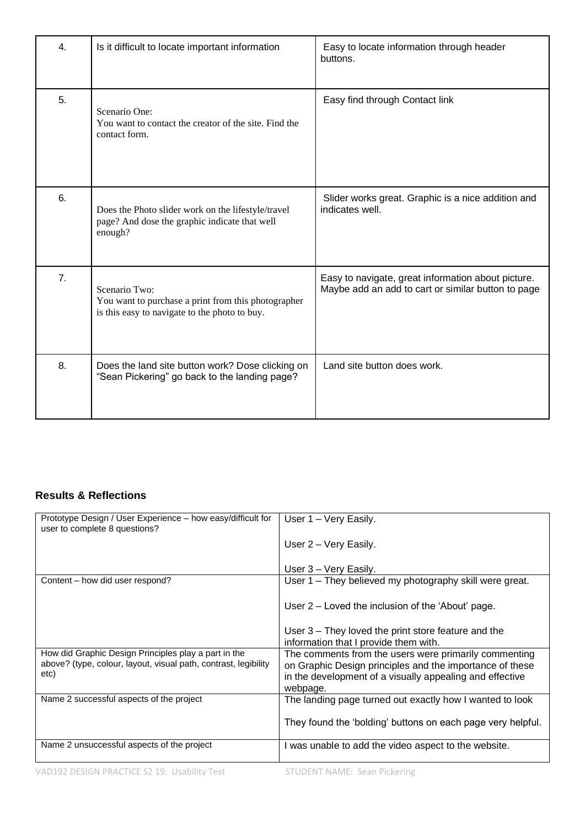| 4. | Is it difficult to locate important information                                                                       | Easy to locate information through header<br>buttons.                                                    |
|----|-----------------------------------------------------------------------------------------------------------------------|----------------------------------------------------------------------------------------------------------|
| 5. | Scenario One:<br>You want to contact the creator of the site. Find the<br>contact form.                               | Easy find through Contact link                                                                           |
| 6. | Does the Photo slider work on the lifestyle/travel<br>page? And dose the graphic indicate that well<br>enough?        | Slider works great. Graphic is a nice addition and<br>indicates well.                                    |
| 7. | Scenario Two:<br>You want to purchase a print from this photographer<br>is this easy to navigate to the photo to buy. | Easy to navigate, great information about picture.<br>Maybe add an add to cart or similar button to page |
| 8. | Does the land site button work? Dose clicking on<br>"Sean Pickering" go back to the landing page?                     | Land site button does work.                                                                              |

# **Results & Reflections**

| Prototype Design / User Experience – how easy/difficult for<br>user to complete 8 questions?                                    | User 1 - Very Easily.                                                                                                                                                                     |
|---------------------------------------------------------------------------------------------------------------------------------|-------------------------------------------------------------------------------------------------------------------------------------------------------------------------------------------|
|                                                                                                                                 | User 2 – Very Easily.                                                                                                                                                                     |
|                                                                                                                                 | User 3 – Very Easily.                                                                                                                                                                     |
| Content – how did user respond?                                                                                                 | User 1 – They believed my photography skill were great.                                                                                                                                   |
|                                                                                                                                 | User 2 – Loved the inclusion of the 'About' page.                                                                                                                                         |
|                                                                                                                                 | User 3 – They loved the print store feature and the<br>information that I provide them with.                                                                                              |
| How did Graphic Design Principles play a part in the<br>above? (type, colour, layout, visual path, contrast, legibility<br>etc) | The comments from the users were primarily commenting<br>on Graphic Design principles and the importance of these<br>in the development of a visually appealing and effective<br>webpage. |
| Name 2 successful aspects of the project                                                                                        | The landing page turned out exactly how I wanted to look                                                                                                                                  |
|                                                                                                                                 | They found the 'bolding' buttons on each page very helpful.                                                                                                                               |
| Name 2 unsuccessful aspects of the project                                                                                      | I was unable to add the video aspect to the website.                                                                                                                                      |